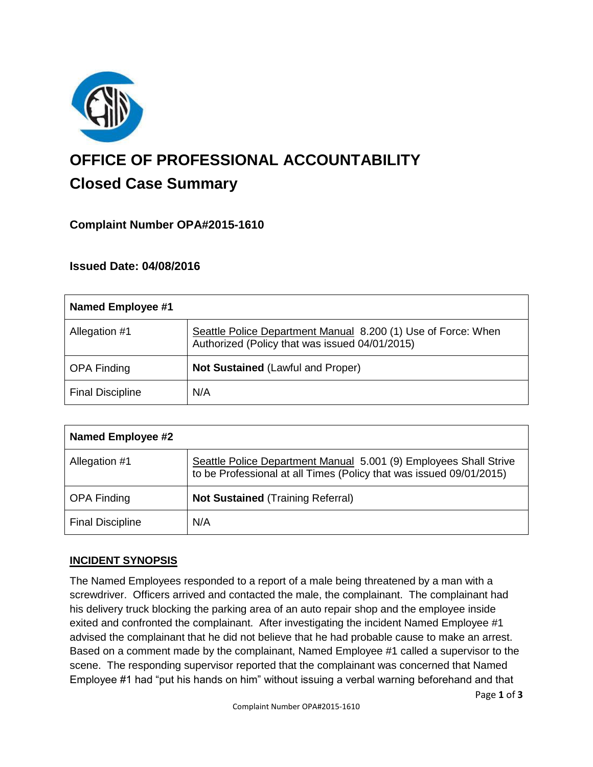

# **OFFICE OF PROFESSIONAL ACCOUNTABILITY Closed Case Summary**

# **Complaint Number OPA#2015-1610**

# **Issued Date: 04/08/2016**

| <b>Named Employee #1</b> |                                                                                                                 |
|--------------------------|-----------------------------------------------------------------------------------------------------------------|
| Allegation #1            | Seattle Police Department Manual 8.200 (1) Use of Force: When<br>Authorized (Policy that was issued 04/01/2015) |
| <b>OPA Finding</b>       | <b>Not Sustained (Lawful and Proper)</b>                                                                        |
| <b>Final Discipline</b>  | N/A                                                                                                             |

| <b>Named Employee #2</b> |                                                                                                                                          |
|--------------------------|------------------------------------------------------------------------------------------------------------------------------------------|
| Allegation #1            | Seattle Police Department Manual 5.001 (9) Employees Shall Strive<br>to be Professional at all Times (Policy that was issued 09/01/2015) |
| <b>OPA Finding</b>       | <b>Not Sustained (Training Referral)</b>                                                                                                 |
| <b>Final Discipline</b>  | N/A                                                                                                                                      |

# **INCIDENT SYNOPSIS**

The Named Employees responded to a report of a male being threatened by a man with a screwdriver. Officers arrived and contacted the male, the complainant. The complainant had his delivery truck blocking the parking area of an auto repair shop and the employee inside exited and confronted the complainant. After investigating the incident Named Employee #1 advised the complainant that he did not believe that he had probable cause to make an arrest. Based on a comment made by the complainant, Named Employee #1 called a supervisor to the scene. The responding supervisor reported that the complainant was concerned that Named Employee #1 had "put his hands on him" without issuing a verbal warning beforehand and that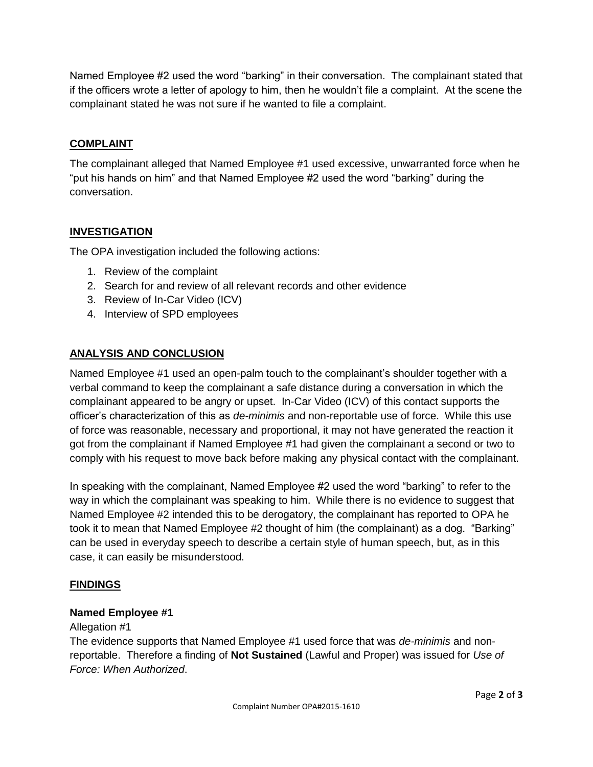Named Employee #2 used the word "barking" in their conversation. The complainant stated that if the officers wrote a letter of apology to him, then he wouldn't file a complaint. At the scene the complainant stated he was not sure if he wanted to file a complaint.

# **COMPLAINT**

The complainant alleged that Named Employee #1 used excessive, unwarranted force when he "put his hands on him" and that Named Employee #2 used the word "barking" during the conversation.

# **INVESTIGATION**

The OPA investigation included the following actions:

- 1. Review of the complaint
- 2. Search for and review of all relevant records and other evidence
- 3. Review of In-Car Video (ICV)
- 4. Interview of SPD employees

#### **ANALYSIS AND CONCLUSION**

Named Employee #1 used an open-palm touch to the complainant's shoulder together with a verbal command to keep the complainant a safe distance during a conversation in which the complainant appeared to be angry or upset. In-Car Video (ICV) of this contact supports the officer's characterization of this as *de-minimis* and non-reportable use of force. While this use of force was reasonable, necessary and proportional, it may not have generated the reaction it got from the complainant if Named Employee #1 had given the complainant a second or two to comply with his request to move back before making any physical contact with the complainant.

In speaking with the complainant, Named Employee #2 used the word "barking" to refer to the way in which the complainant was speaking to him. While there is no evidence to suggest that Named Employee #2 intended this to be derogatory, the complainant has reported to OPA he took it to mean that Named Employee #2 thought of him (the complainant) as a dog. "Barking" can be used in everyday speech to describe a certain style of human speech, but, as in this case, it can easily be misunderstood.

# **FINDINGS**

#### **Named Employee #1**

#### Allegation #1

The evidence supports that Named Employee #1 used force that was *de-minimis* and nonreportable. Therefore a finding of **Not Sustained** (Lawful and Proper) was issued for *Use of Force: When Authorized*.